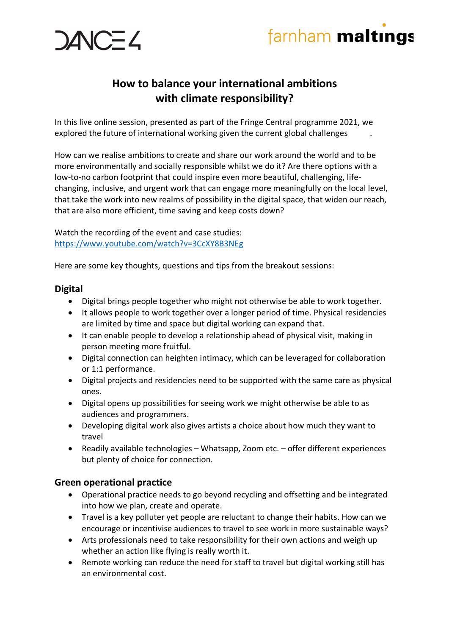



### **How to balance your international ambitions with climate responsibility?**

In this live online session, presented as part of the Fringe Central programme 2021, we explored the future of international working given the current global challenges .

How can we realise ambitions to create and share our work around the world and to be more environmentally and socially responsible whilst we do it? Are there options with a low-to-no carbon footprint that could inspire even more beautiful, challenging, lifechanging, inclusive, and urgent work that can engage more meaningfully on the local level, that take the work into new realms of possibility in the digital space, that widen our reach, that are also more efficient, time saving and keep costs down?

Watch the recording of the event and case studies: https://www.youtube.com/watch?v=3CcXY8B3NEg

Here are some key thoughts, questions and tips from the breakout sessions:

#### **Digital**

- Digital brings people together who might not otherwise be able to work together.
- It allows people to work together over a longer period of time. Physical residencies are limited by time and space but digital working can expand that.
- It can enable people to develop a relationship ahead of physical visit, making in person meeting more fruitful.
- Digital connection can heighten intimacy, which can be leveraged for collaboration or 1:1 performance.
- Digital projects and residencies need to be supported with the same care as physical ones.
- Digital opens up possibilities for seeing work we might otherwise be able to as audiences and programmers.
- Developing digital work also gives artists a choice about how much they want to travel
- Readily available technologies Whatsapp, Zoom etc. offer different experiences but plenty of choice for connection.

#### **Green operational practice**

- Operational practice needs to go beyond recycling and offsetting and be integrated into how we plan, create and operate.
- Travel is a key polluter yet people are reluctant to change their habits. How can we encourage or incentivise audiences to travel to see work in more sustainable ways?
- Arts professionals need to take responsibility for their own actions and weigh up whether an action like flying is really worth it.
- Remote working can reduce the need for staff to travel but digital working still has an environmental cost.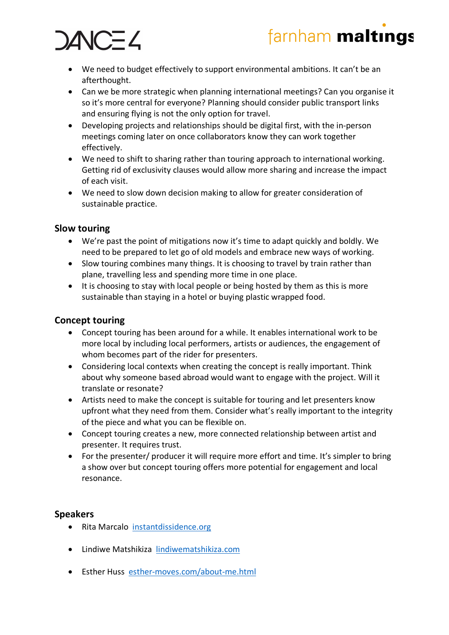### farnham maltings

# AIC=Z

- We need to budget effectively to support environmental ambitions. It can't be an afterthought.
- Can we be more strategic when planning international meetings? Can you organise it so it's more central for everyone? Planning should consider public transport links and ensuring flying is not the only option for travel.
- Developing projects and relationships should be digital first, with the in-person meetings coming later on once collaborators know they can work together effectively.
- We need to shift to sharing rather than touring approach to international working. Getting rid of exclusivity clauses would allow more sharing and increase the impact of each visit.
- We need to slow down decision making to allow for greater consideration of sustainable practice.

#### **Slow touring**

- We're past the point of mitigations now it's time to adapt quickly and boldly. We need to be prepared to let go of old models and embrace new ways of working.
- Slow touring combines many things. It is choosing to travel by train rather than plane, travelling less and spending more time in one place.
- It is choosing to stay with local people or being hosted by them as this is more sustainable than staying in a hotel or buying plastic wrapped food.

#### **Concept touring**

- Concept touring has been around for a while. It enables international work to be more local by including local performers, artists or audiences, the engagement of whom becomes part of the rider for presenters.
- Considering local contexts when creating the concept is really important. Think about why someone based abroad would want to engage with the project. Will it translate or resonate?
- Artists need to make the concept is suitable for touring and let presenters know upfront what they need from them. Consider what's really important to the integrity of the piece and what you can be flexible on.
- Concept touring creates a new, more connected relationship between artist and presenter. It requires trust.
- For the presenter/ producer it will require more effort and time. It's simpler to bring a show over but concept touring offers more potential for engagement and local resonance.

#### **Speakers**

- Rita Marcalo instantdissidence.org
- Lindiwe Matshikiza lindiwematshikiza.com
- Esther Huss esther-moves.com/about-me.html